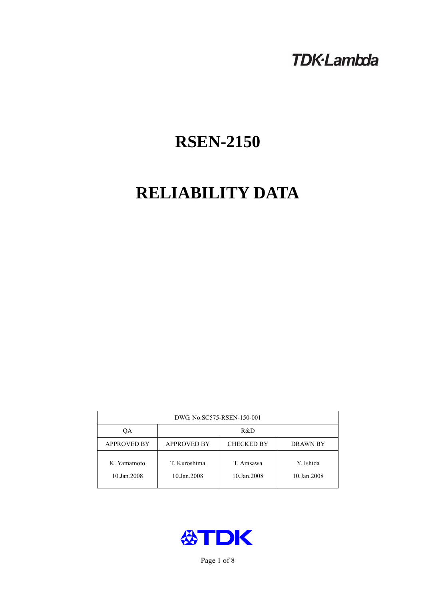# **TDK-Lambda**

# **RSEN-2150**

# **RELIABILITY DATA**

| DWG. No.SC575-RSEN-150-001 |                                                     |                           |                          |  |  |
|----------------------------|-----------------------------------------------------|---------------------------|--------------------------|--|--|
| ОA                         | R&D                                                 |                           |                          |  |  |
| <b>APPROVED BY</b>         | <b>APPROVED BY</b><br><b>CHECKED BY</b><br>DRAWN BY |                           |                          |  |  |
| K. Yamamoto<br>10.Jan.2008 | T. Kuroshima<br>10.Jan.2008                         | T. Arasawa<br>10.Jan.2008 | Y. Ishida<br>10.Jan.2008 |  |  |



Page 1 of 8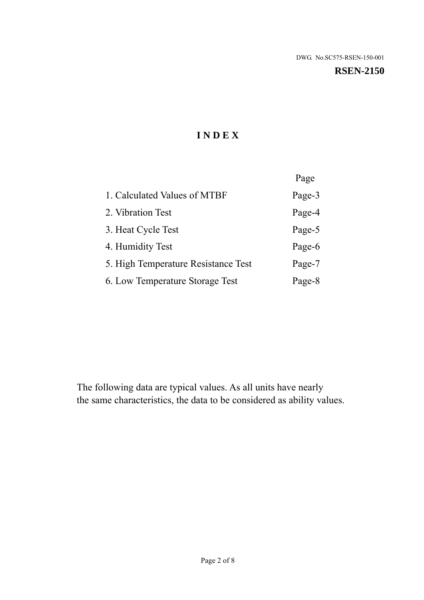#### **RSEN-2150**

# **I N D E X**

|                                     | Page   |
|-------------------------------------|--------|
| 1. Calculated Values of MTBF        | Page-3 |
| 2. Vibration Test                   | Page-4 |
| 3. Heat Cycle Test                  | Page-5 |
| 4. Humidity Test                    | Page-6 |
| 5. High Temperature Resistance Test | Page-7 |
| 6. Low Temperature Storage Test     | Page-8 |

The following data are typical values. As all units have nearly the same characteristics, the data to be considered as ability values.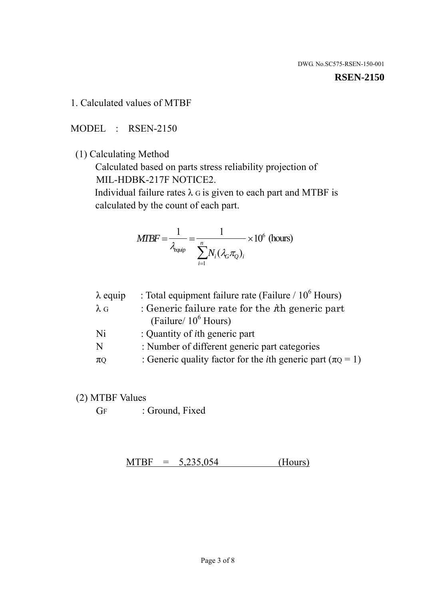#### **RSEN-2150**

1. Calculated values of MTBF

MODEL : RSEN-2150

(1) Calculating Method

 Calculated based on parts stress reliability projection of MIL-HDBK-217F NOTICE2.

Individual failure rates  $\lambda$  G is given to each part and MTBF is calculated by the count of each part.

$$
MIBF = \frac{1}{\lambda_{\text{equip}}} = \frac{1}{\sum_{i=1}^{n} N_i (\lambda_G \pi_Q)_i} \times 10^6 \text{ (hours)}
$$

| $\lambda$ equip | : Total equipment failure rate (Failure $/ 10^6$ Hours)                   |
|-----------------|---------------------------------------------------------------------------|
| $\lambda$ G     | : Generic failure rate for the $\hbar$ generic part                       |
|                 | (Failure/ $10^6$ Hours)                                                   |
| Ni              | : Quantity of <i>i</i> th generic part                                    |
| N               | : Number of different generic part categories                             |
| $\pi_Q$         | : Generic quality factor for the <i>i</i> th generic part ( $\pi Q = 1$ ) |

- (2) MTBF Values
	- GF : Ground, Fixed

 $MTBF = 5,235,054$  (Hours)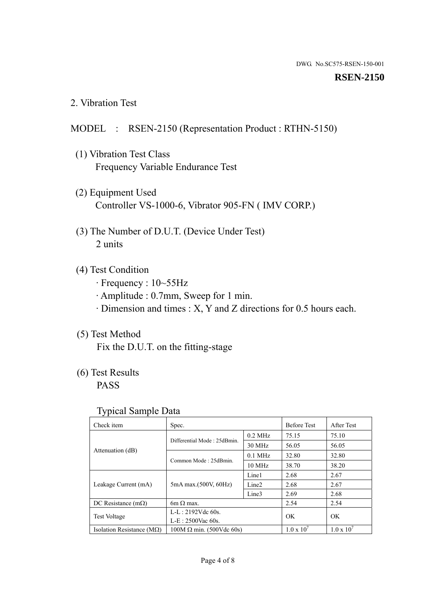#### **RSEN-2150**

2. Vibration Test

# MODEL : RSEN-2150 (Representation Product : RTHN-5150)

- (1) Vibration Test Class Frequency Variable Endurance Test
- (2) Equipment Used Controller VS-1000-6, Vibrator 905-FN ( IMV CORP.)
- (3) The Number of D.U.T. (Device Under Test) 2 units
- (4) Test Condition
	- · Frequency : 10~55Hz
	- · Amplitude : 0.7mm, Sweep for 1 min.
	- · Dimension and times : X, Y and Z directions for 0.5 hours each.

# (5) Test Method

Fix the D.U.T. on the fitting-stage

# (6) Test Results

PASS

#### Typical Sample Data

| Check item                         | Spec.                           |                   | <b>Before Test</b>  | After Test          |
|------------------------------------|---------------------------------|-------------------|---------------------|---------------------|
|                                    | Differential Mode: 25dBmin.     | $0.2$ MHz         | 75.15               | 75.10               |
|                                    |                                 | 30 MHz            | 56.05               | 56.05               |
| Attenuation (dB)                   |                                 | $0.1$ MHz         | 32.80               | 32.80               |
|                                    | Common Mode: 25dBmin.           | 10 MHz            | 38.70               | 38.20               |
| Leakage Current (mA)               | 5mA max.(500V, 60Hz)            | Line1             | 2.68                | 2.67                |
|                                    |                                 | Line <sub>2</sub> | 2.68                | 2.67                |
|                                    |                                 | Line3             | 2.69                | 2.68                |
| DC Resistance $(m\Omega)$          | 6m $\Omega$ max.                |                   | 2.54                | 2.54                |
| <b>Test Voltage</b>                | $L-L: 2192Vdc$ 60s.             |                   | OK                  | OK                  |
|                                    | $L-E$ : 2500Vac 60s.            |                   |                     |                     |
| Isolation Resistance ( $M\Omega$ ) | $100M \Omega$ min. (500Vdc 60s) |                   | $1.0 \times 10^{7}$ | $1.0 \times 10^{7}$ |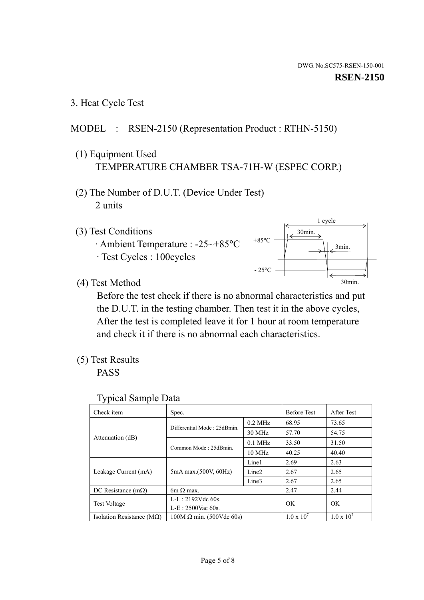1 cycle

30min.

3min.

30min.

3. Heat Cycle Test

### MODEL : RSEN-2150 (Representation Product : RTHN-5150)

- (1) Equipment Used TEMPERATURE CHAMBER TSA-71H-W (ESPEC CORP.)
- (2) The Number of D.U.T. (Device Under Test) 2 units
- (3) Test Conditions
	- · Ambient Temperature : -25~+85°C · Test Cycles : 100cycles
- (4) Test Method

 Before the test check if there is no abnormal characteristics and put the D.U.T. in the testing chamber. Then test it in the above cycles, After the test is completed leave it for 1 hour at room temperature and check it if there is no abnormal each characteristics.

+85°C

 $-25^{\circ}$ C

(5) Test Results

PASS

| <b>Typical Sample Data</b> |  |  |
|----------------------------|--|--|
|                            |  |  |

| Check item                         | Spec.                           |                   | <b>Before Test</b>  | After Test          |
|------------------------------------|---------------------------------|-------------------|---------------------|---------------------|
|                                    | Differential Mode: 25dBmin.     | $0.2$ MHz         | 68.95               | 73.65               |
|                                    |                                 | $30$ MHz          | 57.70               | 54.75               |
| Attenuation (dB)                   | Common Mode: 25dBmin.           | $0.1$ MHz         | 33.50               | 31.50               |
|                                    |                                 | $10 \text{ MHz}$  | 40.25               | 40.40               |
| Leakage Current (mA)               | 5mA max.(500V, 60Hz)            | Line1             | 2.69                | 2.63                |
|                                    |                                 | Line <sub>2</sub> | 2.67                | 2.65                |
|                                    |                                 | Line3             | 2.67                | 2.65                |
| DC Resistance $(m\Omega)$          | 6m $\Omega$ max.                |                   | 2.47                | 2.44                |
| Test Voltage                       | $L-L: 2192Vdc$ 60s.             |                   | OK                  | OK                  |
|                                    | $L-E$ : 2500Vac 60s.            |                   |                     |                     |
| Isolation Resistance ( $M\Omega$ ) | $100M \Omega$ min. (500Vdc 60s) |                   | $1.0 \times 10^{7}$ | $1.0 \times 10^{7}$ |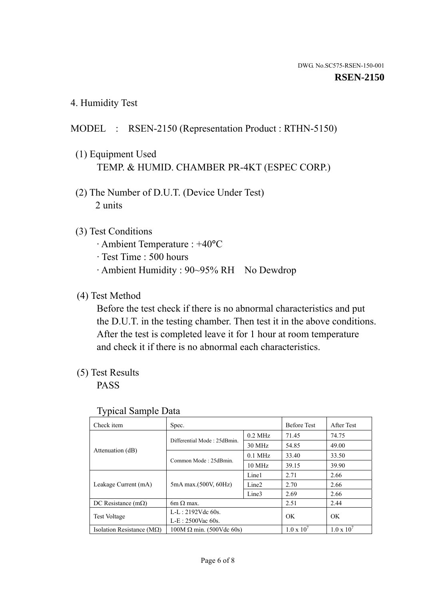4. Humidity Test

# MODEL : RSEN-2150 (Representation Product : RTHN-5150)

- (1) Equipment Used TEMP. & HUMID. CHAMBER PR-4KT (ESPEC CORP.)
- (2) The Number of D.U.T. (Device Under Test) 2 units

# (3) Test Conditions

- · Ambient Temperature : +40°C
- · Test Time : 500 hours
- · Ambient Humidity : 90~95% RH No Dewdrop

# (4) Test Method

 Before the test check if there is no abnormal characteristics and put the D.U.T. in the testing chamber. Then test it in the above conditions. After the test is completed leave it for 1 hour at room temperature and check it if there is no abnormal each characteristics.

# (5) Test Results

PASS

| Check item                         | Spec.                           |                   | <b>Before Test</b>  | After Test          |
|------------------------------------|---------------------------------|-------------------|---------------------|---------------------|
|                                    |                                 |                   |                     |                     |
|                                    | Differential Mode: 25dBmin.     | $0.2$ MHz         | 71.45               | 74.75               |
|                                    |                                 | 30 MHz            | 54.85               | 49.00               |
| Attenuation (dB)                   | Common Mode: 25dBmin.           | $0.1$ MHz         | 33.40               | 33.50               |
|                                    |                                 | $10$ MHz          | 39.15               | 39.90               |
| Leakage Current (mA)               | 5mA max.(500V, 60Hz)            | Line1             | 2.71                | 2.66                |
|                                    |                                 | Line <sub>2</sub> | 2.70                | 2.66                |
|                                    |                                 | Line3             | 2.69                | 2.66                |
| DC Resistance $(m\Omega)$          | $6m \Omega$ max.                |                   | 2.51                | 2.44                |
| <b>Test Voltage</b>                | $L-L: 2192Vdc$ 60s.             |                   | OK<br>OK            |                     |
|                                    | $L-E: 2500$ Vac 60s.            |                   |                     |                     |
| Isolation Resistance ( $M\Omega$ ) | $100M \Omega$ min. (500Vdc 60s) |                   | $1.0 \times 10^{7}$ | $1.0 \times 10^{7}$ |

#### Typical Sample Data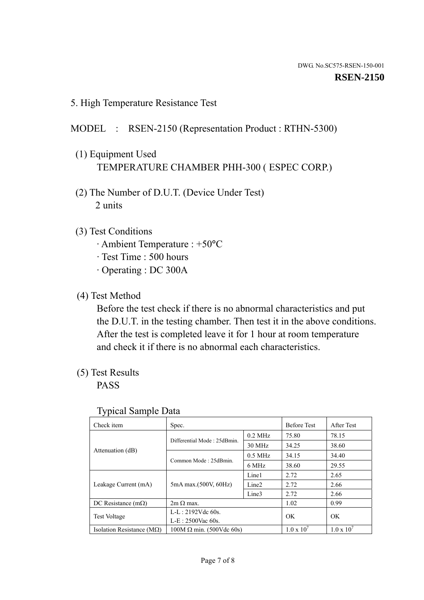5. High Temperature Resistance Test

### MODEL : RSEN-2150 (Representation Product : RTHN-5300)

- (1) Equipment Used TEMPERATURE CHAMBER PHH-300 ( ESPEC CORP.)
- (2) The Number of D.U.T. (Device Under Test) 2 units
- (3) Test Conditions
	- · Ambient Temperature : +50°C
	- · Test Time : 500 hours
	- · Operating : DC 300A
- (4) Test Method

 Before the test check if there is no abnormal characteristics and put the D.U.T. in the testing chamber. Then test it in the above conditions. After the test is completed leave it for 1 hour at room temperature and check it if there is no abnormal each characteristics.

(5) Test Results

PASS

| . .                                |                                 |                   |                     |                     |
|------------------------------------|---------------------------------|-------------------|---------------------|---------------------|
| Check item                         | Spec.                           |                   | <b>Before Test</b>  | After Test          |
|                                    | Differential Mode: 25dBmin.     | $0.2$ MHz         | 75.80               | 78.15               |
|                                    |                                 | 30 MHz            | 34.25               | 38.60               |
| Attenuation (dB)                   | Common Mode: 25dBmin.           | $0.5$ MHz         | 34.15               | 34.40               |
|                                    |                                 | 6 MHz             | 38.60               | 29.55               |
| Leakage Current (mA)               | 5mA max.(500V, 60Hz)            | Line1             | 2.72                | 2.65                |
|                                    |                                 | Line <sub>2</sub> | 2.72                | 2.66                |
|                                    |                                 | Line3             | 2.72                | 2.66                |
| DC Resistance $(m\Omega)$          | $2m \Omega$ max.                |                   | 1.02                | 0.99                |
| <b>Test Voltage</b>                | $L-L: 2192Vdc$ 60s.             |                   | OK.                 | OK.                 |
|                                    | $L-E: 2500$ Vac 60s.            |                   |                     |                     |
| Isolation Resistance ( $M\Omega$ ) | $100M \Omega$ min. (500Vdc 60s) |                   | $1.0 \times 10^{7}$ | $1.0 \times 10^{7}$ |

#### Typical Sample Data